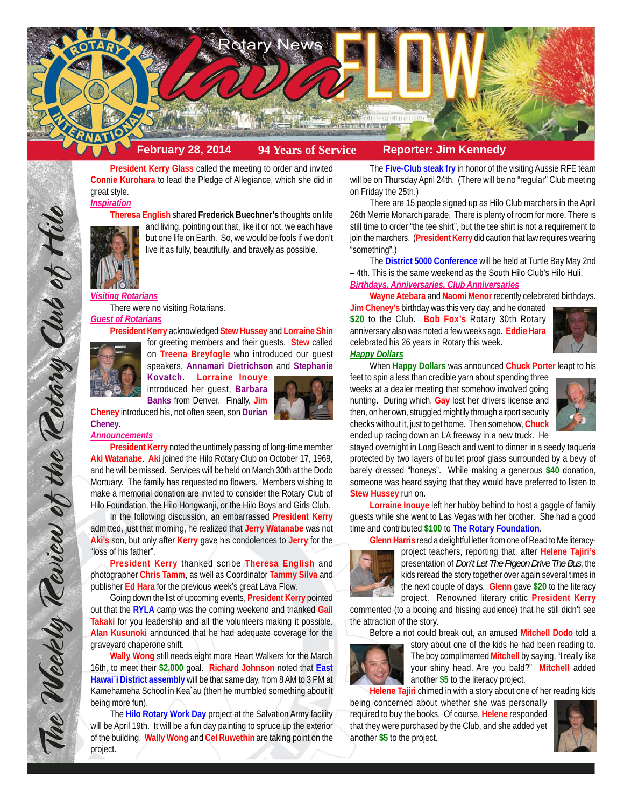

**President Kerry Glass** called the meeting to order and invited **Connie Kurohara** to lead the Pledge of Allegiance, which she did in great style.

*Inspiration*

**Theresa English** shared **Frederick Buechner's** thoughts on life and living, pointing out that, like it or not, we each have but one life on Earth. So, we would be fools if we don't



live it as fully, beautifully, and bravely as possible.

# *Visiting Rotarians*

There were no visiting Rotarians.

### *Guest of Rotarians*

**President Kerry** acknowledged **Stew Hussey** and **Lorraine Shin**



for greeting members and their guests. **Stew** called on **Treena Breyfogle** who introduced our guest speakers, **Annamari Dietrichson** and **Stephanie**

**Kovatch**. **Lorraine Inouye** introduced her guest, **Barbara Banks** from Denver. Finally, **Jim**



**Cheney** introduced his, not often seen, son **Durian Cheney**.

#### *Announcements*

The Weekly Teview of the Tetary Club of Hile

**President Kerry** noted the untimely passing of long-time member **Aki Watanabe**. **Aki** joined the Hilo Rotary Club on October 17, 1969, and he will be missed. Services will be held on March 30th at the Dodo Mortuary. The family has requested no flowers. Members wishing to make a memorial donation are invited to consider the Rotary Club of Hilo Foundation, the Hilo Hongwanji, or the Hilo Boys and Girls Club.

In the following discussion, an embarrassed **President Kerry** admitted, just that morning, he realized that **Jerry Watanabe** was not **Aki's** son, but only after **Kerry** gave his condolences to **Jerry** for the "loss of his father".

**President Kerry** thanked scribe **Theresa English** and photographer **Chris Tamm**, as well as Coordinator **Tammy Silva** and publisher **Ed Hara** for the previous week's great Lava Flow.

Going down the list of upcoming events, **President Kerry** pointed out that the **RYLA** camp was the coming weekend and thanked **Gail Takaki** for you leadership and all the volunteers making it possible. **Alan Kusunoki** announced that he had adequate coverage for the graveyard chaperone shift.

**Wally Wong** still needs eight more Heart Walkers for the March 16th, to meet their **\$2,000** goal. **Richard Johnson** noted that **East Hawai`i District assembly** will be that same day, from 8 AM to 3 PM at Kamehameha School in Kea`au (then he mumbled something about it being more fun).

The **Hilo Rotary Work Day** project at the Salvation Army facility will be April 19th. It will be a fun day painting to spruce up the exterior of the building. **Wally Wong** and **Cel Ruwethin** are taking point on the project.

The **Five-Club steak fry** in honor of the visiting Aussie RFE team will be on Thursday April 24th. (There will be no "regular" Club meeting on Friday the 25th.)

There are 15 people signed up as Hilo Club marchers in the April 26th Merrie Monarch parade. There is plenty of room for more. There is still time to order "the tee shirt", but the tee shirt is not a requirement to join the marchers. (**President Kerry** did caution that law requires wearing "something".)

The **District 5000 Conference** will be held at Turtle Bay May 2nd – 4th. This is the same weekend as the South Hilo Club's Hilo Huli.

# *Birthdays, Anniversaries, Club Anniversaries*

**Wayne Atebara** and **Naomi Menor** recently celebrated birthdays. **Jim Cheney's** birthday was this very day, and he donated **\$20** to the Club. **Bob Fox's** Rotary 30th Rotary anniversary also was noted a few weeks ago. **Eddie Hara** celebrated his 26 years in Rotary this week. *Happy Dollars*



When **Happy Dollars** was announced **Chuck Porter** leapt to his

feet to spin a less than credible yarn about spending three weeks at a dealer meeting that somehow involved going hunting. During which, **Gay** lost her drivers license and then, on her own, struggled mightily through airport security checks without it, just to get home. Then somehow, **Chuck** ended up racing down an LA freeway in a new truck. He



stayed overnight in Long Beach and went to dinner in a seedy taqueria protected by two layers of bullet proof glass surrounded by a bevy of barely dressed "honeys". While making a generous **\$40** donation, someone was heard saying that they would have preferred to listen to **Stew Hussey** run on.

**Lorraine Inouye** left her hubby behind to host a gaggle of family guests while she went to Las Vegas with her brother. She had a good time and contributed **\$100** to **The Rotary Foundation**.

**Glenn Harris** read a delightful letter from one of Read to Me literacy-



project teachers, reporting that, after **Helene Tajiri's** presentation of *Don't Let The Pigeon Drive The Bus*, the kids reread the story together over again several times in the next couple of days. **Glenn** gave **\$20** to the literacy project. Renowned literary critic **President Kerry**

commented (to a booing and hissing audience) that he still didn't see the attraction of the story.

Before a riot could break out, an amused **Mitchell Dodo** told a



story about one of the kids he had been reading to. The boy complimented **Mitchell** by saying, "I really like your shiny head. Are you bald?" **Mitchell** added another **\$5** to the literacy project.

**Helene Tajiri** chimed in with a story about one of her reading kids

being concerned about whether she was personally required to buy the books. Of course, **Helene** responded that they were purchased by the Club, and she added yet another **\$5** to the project.